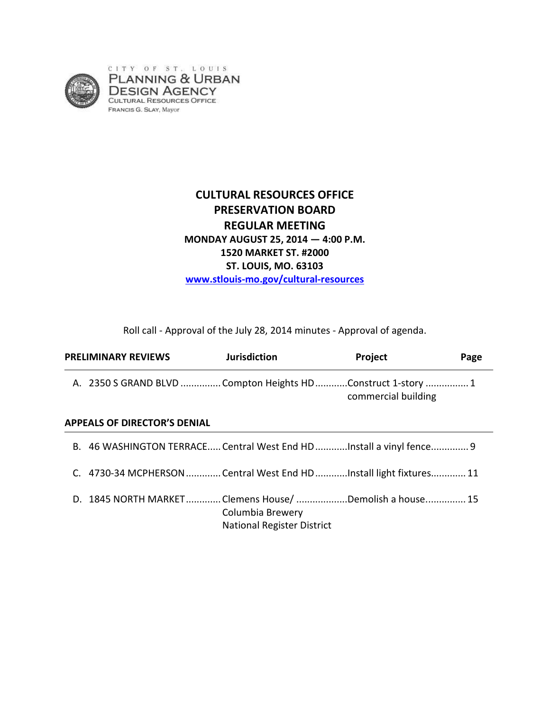

# **CULTURAL RESOURCES OFFICE PRESERVATION BOARD REGULAR MEETING MONDAY AUGUST 25, 2014 — 4:00 P.M. 1520 MARKET ST. #2000 ST. LOUIS, MO. 63103 www.stlouis-mo.gov/cultural-resources**

Roll call - Approval of the July 28, 2014 minutes - Approval of agenda.

| <b>PRELIMINARY REVIEWS</b>                                    |  | <b>Jurisdiction</b>                                                 | Project             | Page |
|---------------------------------------------------------------|--|---------------------------------------------------------------------|---------------------|------|
| A. 2350 S GRAND BLVD  Compton Heights HD Construct 1-story  1 |  |                                                                     | commercial building |      |
| <b>APPEALS OF DIRECTOR'S DENIAL</b>                           |  |                                                                     |                     |      |
|                                                               |  | B. 46 WASHINGTON TERRACE Central West End HDInstall a vinyl fence 9 |                     |      |
|                                                               |  | 4730-34 MCPHERSON Central West End HD Install light fixtures 11     |                     |      |

D. 1845 NORTH MARKET ............. Clemens House/ ...................Demolish a house. .............. 15 Columbia Brewery National Register District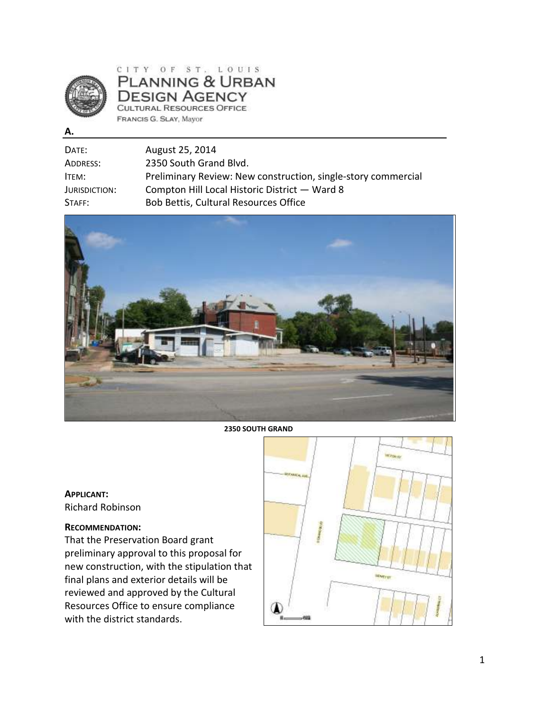

CITY OF ST. LOUIS PLANNING & URBAN **DESIGN AGENCY** CULTURAL RESOURCES OFFICE FRANCIS G. SLAY, Mayor

**A.** 

| DATE:         | August 25, 2014                                               |
|---------------|---------------------------------------------------------------|
| ADDRESS:      | 2350 South Grand Blvd.                                        |
| ITEM:         | Preliminary Review: New construction, single-story commercial |
| JURISDICTION: | Compton Hill Local Historic District - Ward 8                 |
| STAFF:        | Bob Bettis, Cultural Resources Office                         |



**2350 SOUTH GRAND** 

### **APPLICANT:**  Richard Robinson

### **RECOMMENDATION:**

That the Preservation Board grant preliminary approval to this proposal for new construction, with the stipulation that final plans and exterior details will be reviewed and approved by the Cultural Resources Office to ensure compliance with the district standards.

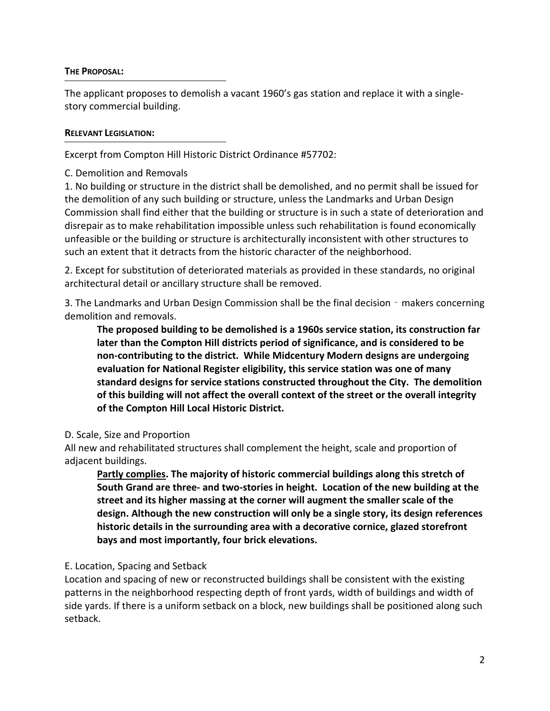### **THE PROPOSAL:**

The applicant proposes to demolish a vacant 1960's gas station and replace it with a singlestory commercial building.

### **RELEVANT LEGISLATION:**

Excerpt from Compton Hill Historic District Ordinance #57702:

C. Demolition and Removals

1. No building or structure in the district shall be demolished, and no permit shall be issued for the demolition of any such building or structure, unless the Landmarks and Urban Design Commission shall find either that the building or structure is in such a state of deterioration and disrepair as to make rehabilitation impossible unless such rehabilitation is found economically unfeasible or the building or structure is architecturally inconsistent with other structures to such an extent that it detracts from the historic character of the neighborhood.

2. Except for substitution of deteriorated materials as provided in these standards, no original architectural detail or ancillary structure shall be removed.

3. The Landmarks and Urban Design Commission shall be the final decision - makers concerning demolition and removals.

**The proposed building to be demolished is a 1960s service station, its construction far later than the Compton Hill districts period of significance, and is considered to be non-contributing to the district. While Midcentury Modern designs are undergoing evaluation for National Register eligibility, this service station was one of many standard designs for service stations constructed throughout the City. The demolition of this building will not affect the overall context of the street or the overall integrity of the Compton Hill Local Historic District.**

### D. Scale, Size and Proportion

All new and rehabilitated structures shall complement the height, scale and proportion of adjacent buildings.

**Partly complies. The majority of historic commercial buildings along this stretch of South Grand are three- and two-stories in height. Location of the new building at the street and its higher massing at the corner will augment the smaller scale of the design. Although the new construction will only be a single story, its design references historic details in the surrounding area with a decorative cornice, glazed storefront bays and most importantly, four brick elevations.** 

## E. Location, Spacing and Setback

Location and spacing of new or reconstructed buildings shall be consistent with the existing patterns in the neighborhood respecting depth of front yards, width of buildings and width of side yards. If there is a uniform setback on a block, new buildings shall be positioned along such setback.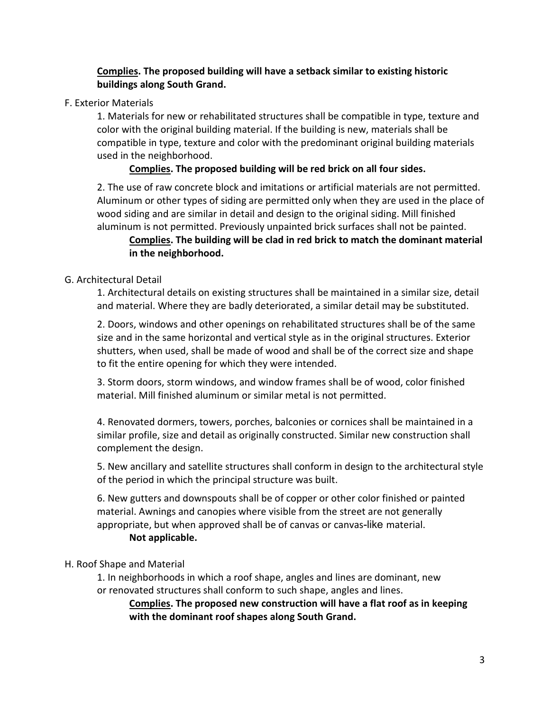## **Complies. The proposed building will have a setback similar to existing historic buildings along South Grand.**

### F. Exterior Materials

1. Materials for new or rehabilitated structures shall be compatible in type, texture and color with the original building material. If the building is new, materials shall be compatible in type, texture and color with the predominant original building materials used in the neighborhood.

## **Complies. The proposed building will be red brick on all four sides.**

2. The use of raw concrete block and imitations or artificial materials are not permitted. Aluminum or other types of siding are permitted only when they are used in the place of wood siding and are similar in detail and design to the original siding. Mill finished aluminum is not permitted. Previously unpainted brick surfaces shall not be painted.

# **Complies. The building will be clad in red brick to match the dominant material in the neighborhood.**

### G. Architectural Detail

1. Architectural details on existing structures shall be maintained in a similar size, detail and material. Where they are badly deteriorated, a similar detail may be substituted.

2. Doors, windows and other openings on rehabilitated structures shall be of the same size and in the same horizontal and vertical style as in the original structures. Exterior shutters, when used, shall be made of wood and shall be of the correct size and shape to fit the entire opening for which they were intended.

3. Storm doors, storm windows, and window frames shall be of wood, color finished material. Mill finished aluminum or similar metal is not permitted.

4. Renovated dormers, towers, porches, balconies or cornices shall be maintained in a similar profile, size and detail as originally constructed. Similar new construction shall complement the design.

5. New ancillary and satellite structures shall conform in design to the architectural style of the period in which the principal structure was built.

6. New gutters and downspouts shall be of copper or other color finished or painted material. Awnings and canopies where visible from the street are not generally appropriate, but when approved shall be of canvas or canvas-like material.

### **Not applicable.**

### H. Roof Shape and Material

1. In neighborhoods in which a roof shape, angles and lines are dominant, new or renovated structures shall conform to such shape, angles and lines.

**Complies. The proposed new construction will have a flat roof as in keeping with the dominant roof shapes along South Grand.**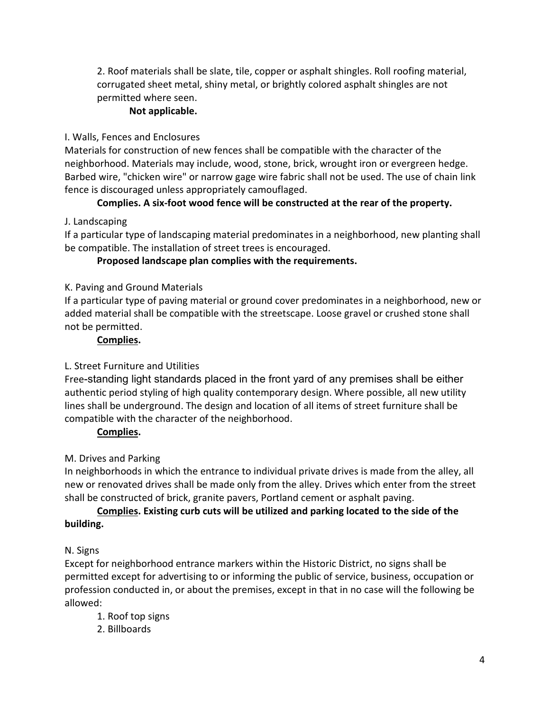2. Roof materials shall be slate, tile, copper or asphalt shingles. Roll roofing material, corrugated sheet metal, shiny metal, or brightly colored asphalt shingles are not permitted where seen.

## **Not applicable.**

## I. Walls, Fences and Enclosures

Materials for construction of new fences shall be compatible with the character of the neighborhood. Materials may include, wood, stone, brick, wrought iron or evergreen hedge. Barbed wire, "chicken wire" or narrow gage wire fabric shall not be used. The use of chain link fence is discouraged unless appropriately camouflaged.

# **Complies. A six-foot wood fence will be constructed at the rear of the property.**

## J. Landscaping

If a particular type of landscaping material predominates in a neighborhood, new planting shall be compatible. The installation of street trees is encouraged.

## **Proposed landscape plan complies with the requirements.**

## K. Paving and Ground Materials

If a particular type of paving material or ground cover predominates in a neighborhood, new or added material shall be compatible with the streetscape. Loose gravel or crushed stone shall not be permitted.

## **Complies.**

# L. Street Furniture and Utilities

Free-standing light standards placed in the front yard of any premises shall be either authentic period styling of high quality contemporary design. Where possible, all new utility lines shall be underground. The design and location of all items of street furniture shall be compatible with the character of the neighborhood.

## **Complies.**

# M. Drives and Parking

In neighborhoods in which the entrance to individual private drives is made from the alley, all new or renovated drives shall be made only from the alley. Drives which enter from the street shall be constructed of brick, granite pavers, Portland cement or asphalt paving.

## **Complies. Existing curb cuts will be utilized and parking located to the side of the building.**

# N. Signs

Except for neighborhood entrance markers within the Historic District, no signs shall be permitted except for advertising to or informing the public of service, business, occupation or profession conducted in, or about the premises, except in that in no case will the following be allowed:

- 1. Roof top signs
- 2. Billboards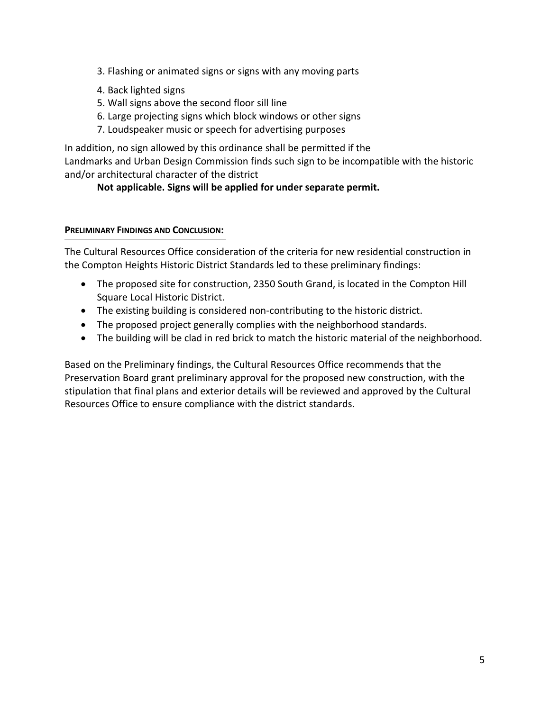- 3. Flashing or animated signs or signs with any moving parts
- 4. Back lighted signs
- 5. Wall signs above the second floor sill line
- 6. Large projecting signs which block windows or other signs
- 7. Loudspeaker music or speech for advertising purposes

In addition, no sign allowed by this ordinance shall be permitted if the Landmarks and Urban Design Commission finds such sign to be incompatible with the historic and/or architectural character of the district

## **Not applicable. Signs will be applied for under separate permit.**

### **PRELIMINARY FINDINGS AND CONCLUSION:**

The Cultural Resources Office consideration of the criteria for new residential construction in the Compton Heights Historic District Standards led to these preliminary findings:

- The proposed site for construction, 2350 South Grand, is located in the Compton Hill Square Local Historic District.
- The existing building is considered non-contributing to the historic district.
- The proposed project generally complies with the neighborhood standards.
- The building will be clad in red brick to match the historic material of the neighborhood.

Based on the Preliminary findings, the Cultural Resources Office recommends that the Preservation Board grant preliminary approval for the proposed new construction, with the stipulation that final plans and exterior details will be reviewed and approved by the Cultural Resources Office to ensure compliance with the district standards.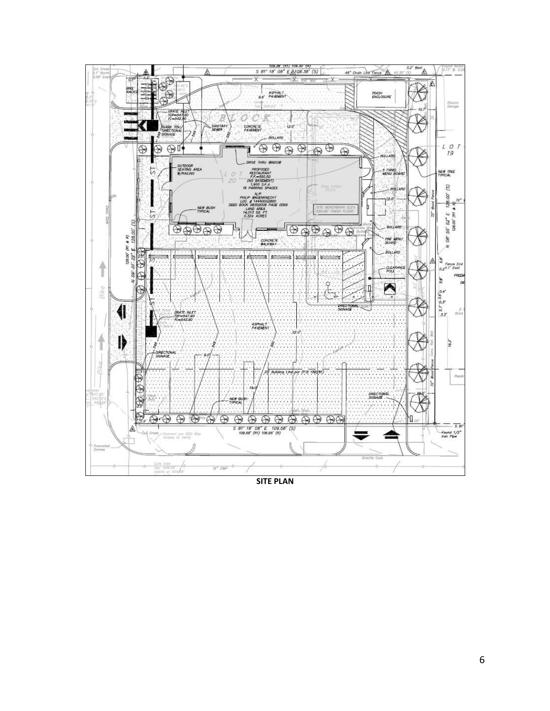

**SITE PLAN**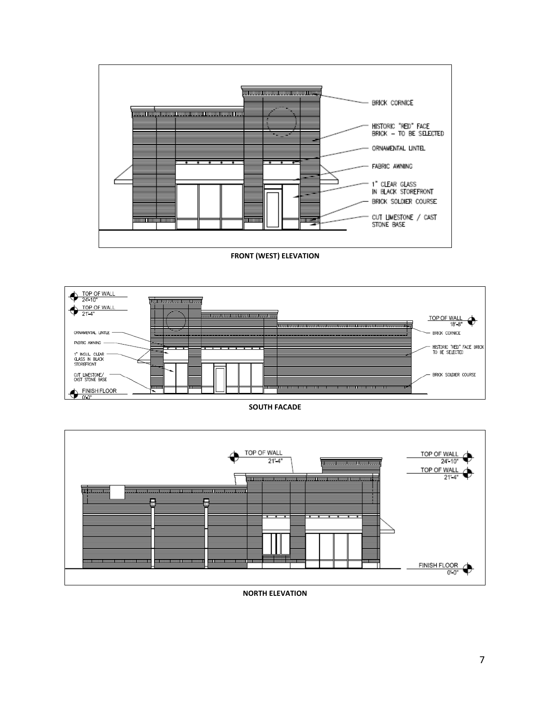TOP OF WALL TOP OF WALL  $21 - 4$ 24' 10" **<u> Importantino into il into into al</u>** TOP OF WALL<br>21-4" ♦ <u>iga nagga gagaa gagaa nggaga gagayi gaga nggagaangga gagaa nggag gagaa iyo</u> **TETA DI DIVIDI DI DI** .<br>1999 - 1999 - 1999 - 1999 - 1999 - 1999 - 1999 - 1999 - 1999 - 1999 - 1999 - 1999 - 1999 - 1999 - 1999 - 199 <u>aano ana maana amin'ny fivondronan'i Tanàna amin'ny faritr'i Normandie, ao amin'ny faritr'i Normandie, ao Fran</u> FINISH FLOOR  $\overline{$  $0 - 0$ 

**NORTH ELEVATION** 

#### **SOUTH FACADE**



#### **FRONT (WEST) ELEVATION**

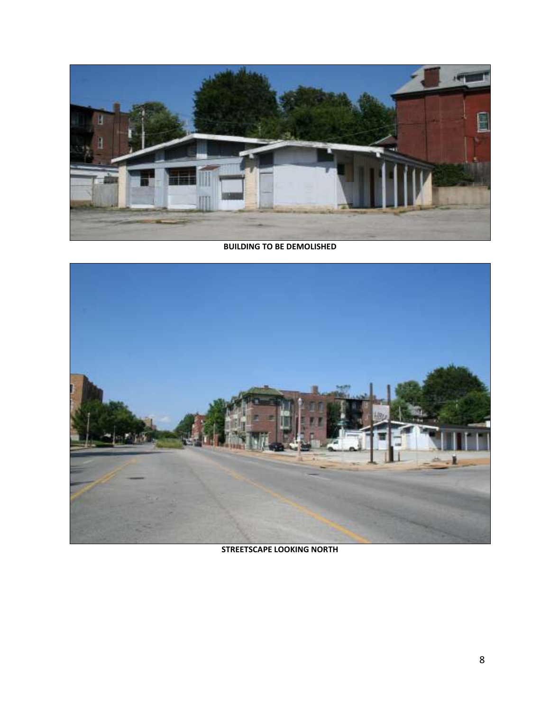

#### **BUILDING TO BE DEMOLISHED**



**STREETSCAPE LOOKING NORTH**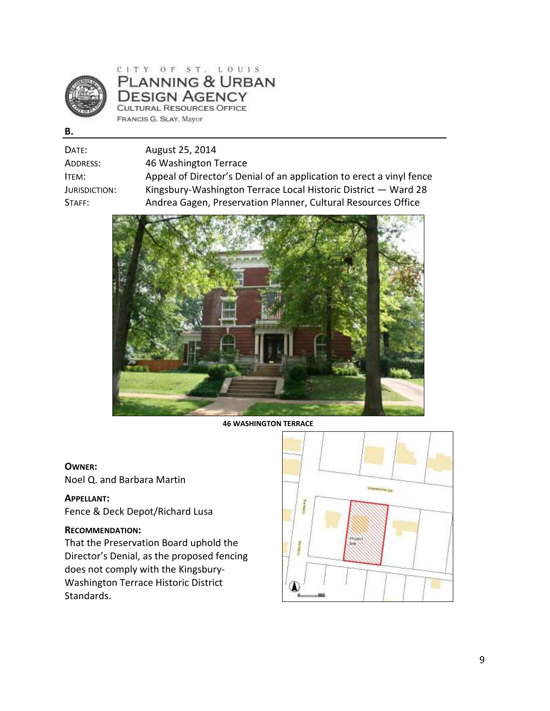

CITY OF ST. LOUIS PLANNING & URBAN **DESIGN AGENCY CULTURAL RESOURCES OFFICE** FRANCIS G. SLAY, Mayor

**B.** 

| August 25, 2014                                                      |
|----------------------------------------------------------------------|
| 46 Washington Terrace                                                |
| Appeal of Director's Denial of an application to erect a vinyl fence |
| Kingsbury-Washington Terrace Local Historic District - Ward 28       |
| Andrea Gagen, Preservation Planner, Cultural Resources Office        |
|                                                                      |



**46 WASHINGTON TERRACE** 

### **OWNER:**

Noel Q. and Barbara Martin

### **APPELLANT:**

Fence & Deck Depot/Richard Lusa

### **RECOMMENDATION:**

That the Preservation Board uphold the Director's Denial, as the proposed fencing does not comply with the Kingsbury-Washington Terrace Historic District Standards.

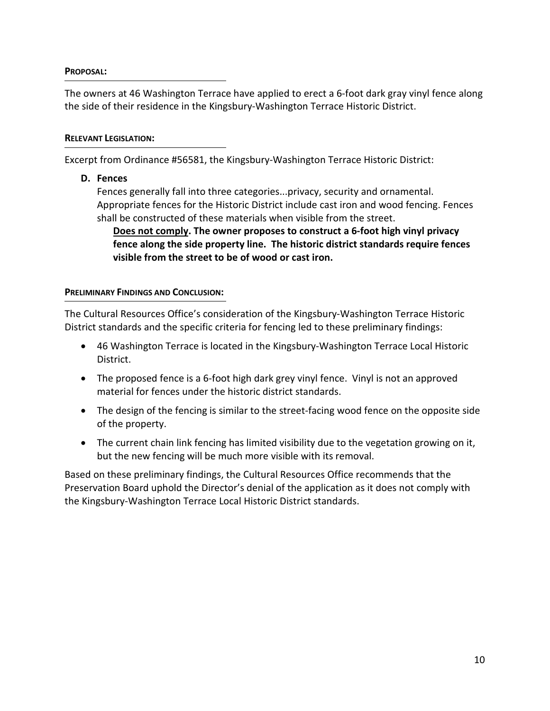### **PROPOSAL:**

The owners at 46 Washington Terrace have applied to erect a 6-foot dark gray vinyl fence along the side of their residence in the Kingsbury-Washington Terrace Historic District.

### **RELEVANT LEGISLATION:**

Excerpt from Ordinance #56581, the Kingsbury-Washington Terrace Historic District:

**D. Fences**

Fences generally fall into three categories...privacy, security and ornamental. Appropriate fences for the Historic District include cast iron and wood fencing. Fences shall be constructed of these materials when visible from the street.

**Does not comply. The owner proposes to construct a 6-foot high vinyl privacy fence along the side property line. The historic district standards require fences visible from the street to be of wood or cast iron.**

### **PRELIMINARY FINDINGS AND CONCLUSION:**

The Cultural Resources Office's consideration of the Kingsbury-Washington Terrace Historic District standards and the specific criteria for fencing led to these preliminary findings:

- 46 Washington Terrace is located in the Kingsbury-Washington Terrace Local Historic District.
- The proposed fence is a 6-foot high dark grey vinyl fence. Vinyl is not an approved material for fences under the historic district standards.
- The design of the fencing is similar to the street-facing wood fence on the opposite side of the property.
- The current chain link fencing has limited visibility due to the vegetation growing on it, but the new fencing will be much more visible with its removal.

Based on these preliminary findings, the Cultural Resources Office recommends that the Preservation Board uphold the Director's denial of the application as it does not comply with the Kingsbury-Washington Terrace Local Historic District standards.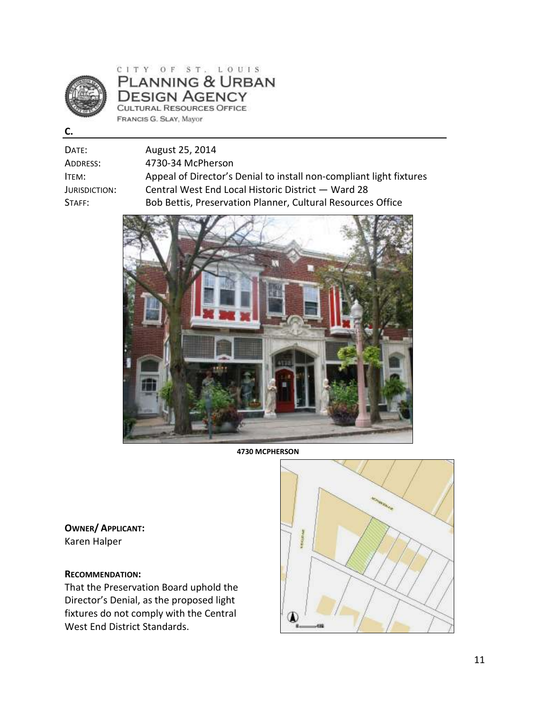

CITY OF ST. LOUIS<br>PLANNING & URBAN **DESIGN AGENCY CULTURAL RESOURCES OFFICE** FRANCIS G. SLAY, Mayor

**C.** 

| Date:         | August 25, 2014                                                     |
|---------------|---------------------------------------------------------------------|
| Address:      | 4730-34 McPherson                                                   |
| ITEM:         | Appeal of Director's Denial to install non-compliant light fixtures |
| Jurisdiction: | Central West End Local Historic District - Ward 28                  |
| Staff:        | Bob Bettis, Preservation Planner, Cultural Resources Office         |



**4730 MCPHERSON** 

**OWNER/ APPLICANT:**  Karen Halper

### **RECOMMENDATION:**

That the Preservation Board uphold the Director's Denial, as the proposed light fixtures do not comply with the Central West End District Standards.

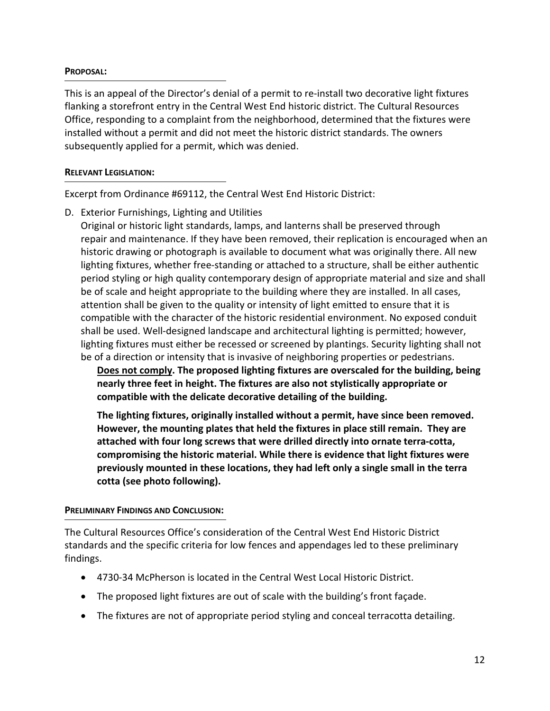### **PROPOSAL:**

This is an appeal of the Director's denial of a permit to re-install two decorative light fixtures flanking a storefront entry in the Central West End historic district. The Cultural Resources Office, responding to a complaint from the neighborhood, determined that the fixtures were installed without a permit and did not meet the historic district standards. The owners subsequently applied for a permit, which was denied.

### **RELEVANT LEGISLATION:**

Excerpt from Ordinance #69112, the Central West End Historic District:

D. Exterior Furnishings, Lighting and Utilities

Original or historic light standards, lamps, and lanterns shall be preserved through repair and maintenance. If they have been removed, their replication is encouraged when an historic drawing or photograph is available to document what was originally there. All new lighting fixtures, whether free-standing or attached to a structure, shall be either authentic period styling or high quality contemporary design of appropriate material and size and shall be of scale and height appropriate to the building where they are installed. In all cases, attention shall be given to the quality or intensity of light emitted to ensure that it is compatible with the character of the historic residential environment. No exposed conduit shall be used. Well-designed landscape and architectural lighting is permitted; however, lighting fixtures must either be recessed or screened by plantings. Security lighting shall not be of a direction or intensity that is invasive of neighboring properties or pedestrians.

**Does not comply. The proposed lighting fixtures are overscaled for the building, being nearly three feet in height. The fixtures are also not stylistically appropriate or compatible with the delicate decorative detailing of the building.** 

**The lighting fixtures, originally installed without a permit, have since been removed. However, the mounting plates that held the fixtures in place still remain. They are attached with four long screws that were drilled directly into ornate terra-cotta, compromising the historic material. While there is evidence that light fixtures were previously mounted in these locations, they had left only a single small in the terra cotta (see photo following).** 

### **PRELIMINARY FINDINGS AND CONCLUSION:**

The Cultural Resources Office's consideration of the Central West End Historic District standards and the specific criteria for low fences and appendages led to these preliminary findings.

- 4730-34 McPherson is located in the Central West Local Historic District.
- The proposed light fixtures are out of scale with the building's front façade.
- The fixtures are not of appropriate period styling and conceal terracotta detailing.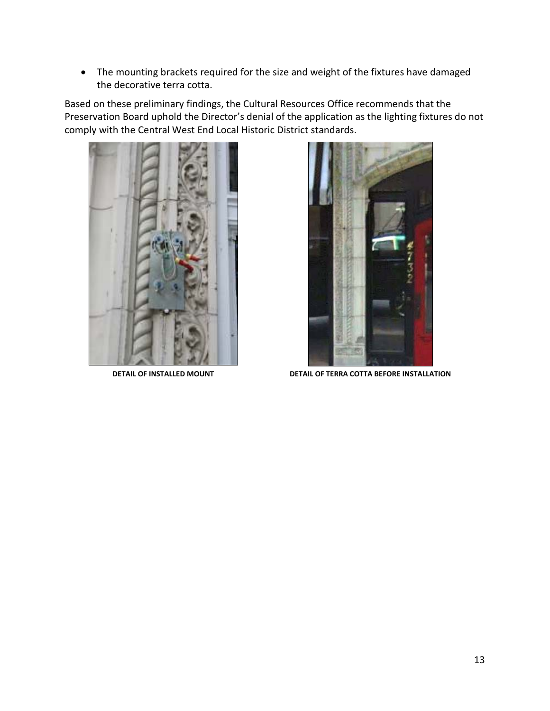• The mounting brackets required for the size and weight of the fixtures have damaged the decorative terra cotta.

Based on these preliminary findings, the Cultural Resources Office recommends that the Preservation Board uphold the Director's denial of the application as the lighting fixtures do not comply with the Central West End Local Historic District standards.





**DETAIL OF INSTALLED MOUNT DETAIL OF TERRA COTTA BEFORE INSTALLATION**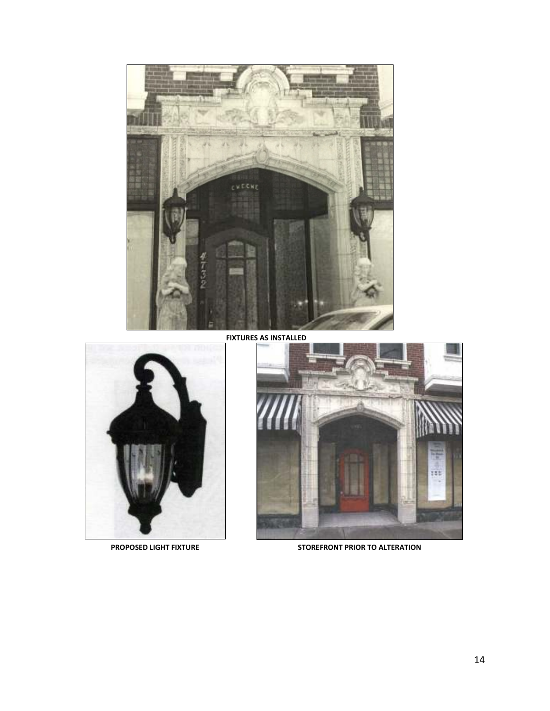

**FIXTURES AS INSTALLED**





PROPOSED LIGHT FIXTURE **STOREFRONT PRIOR TO ALTERATION**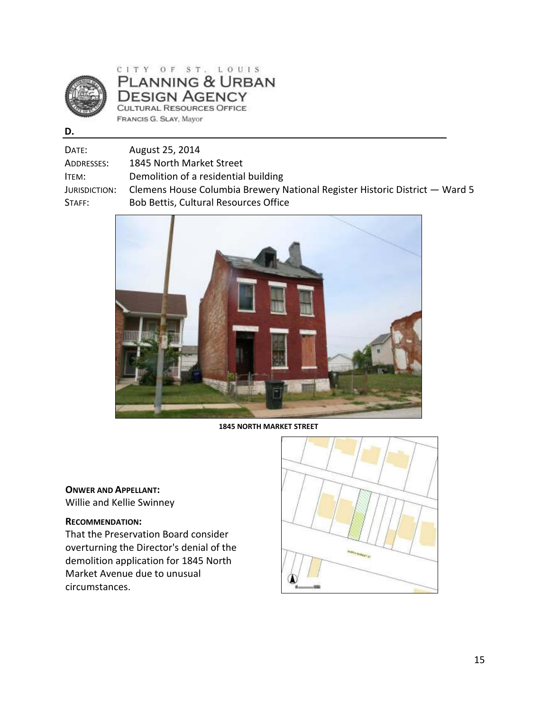

CITY OF ST. LOUIS **PLANNING & URBAN DESIGN AGENCY** CULTURAL RESOURCES OFFICE FRANCIS G. SLAY, Mayor

| ×<br>٠  |
|---------|
| I<br>۰. |

| Date:         | August 25, 2014                                                             |
|---------------|-----------------------------------------------------------------------------|
|               |                                                                             |
| Addresses:    | 1845 North Market Street                                                    |
| ITEM:         | Demolition of a residential building                                        |
| Jurisdiction: | Clemens House Columbia Brewery National Register Historic District – Ward 5 |
| Staff:        | Bob Bettis, Cultural Resources Office                                       |
|               |                                                                             |



**1845 NORTH MARKET STREET** 

### **ONWER AND APPELLANT:**

Willie and Kellie Swinney

### **RECOMMENDATION:**

That the Preservation Board consider overturning the Director's denial of the demolition application for 1845 North Market Avenue due to unusual circumstances.

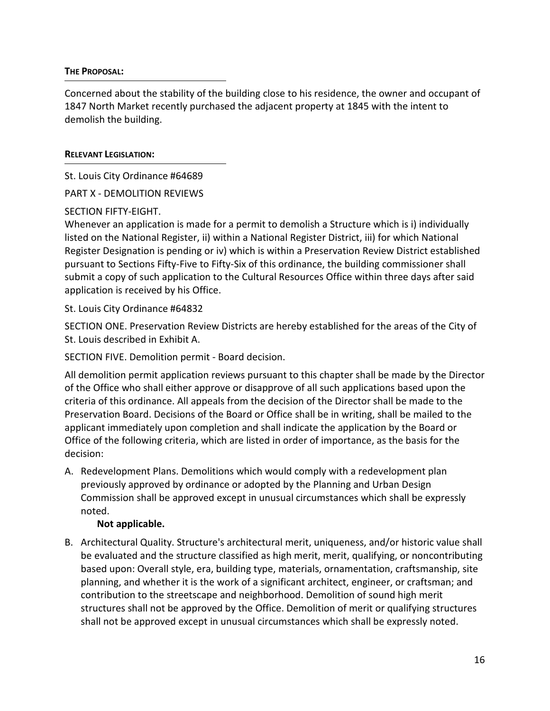### **THE PROPOSAL:**

Concerned about the stability of the building close to his residence, the owner and occupant of 1847 North Market recently purchased the adjacent property at 1845 with the intent to demolish the building.

### **RELEVANT LEGISLATION:**

St. Louis City Ordinance #64689

PART X - DEMOLITION REVIEWS

### SECTION FIFTY-EIGHT.

Whenever an application is made for a permit to demolish a Structure which is i) individually listed on the National Register, ii) within a National Register District, iii) for which National Register Designation is pending or iv) which is within a Preservation Review District established pursuant to Sections Fifty-Five to Fifty-Six of this ordinance, the building commissioner shall submit a copy of such application to the Cultural Resources Office within three days after said application is received by his Office.

St. Louis City Ordinance #64832

SECTION ONE. Preservation Review Districts are hereby established for the areas of the City of St. Louis described in Exhibit A.

SECTION FIVE. Demolition permit - Board decision.

All demolition permit application reviews pursuant to this chapter shall be made by the Director of the Office who shall either approve or disapprove of all such applications based upon the criteria of this ordinance. All appeals from the decision of the Director shall be made to the Preservation Board. Decisions of the Board or Office shall be in writing, shall be mailed to the applicant immediately upon completion and shall indicate the application by the Board or Office of the following criteria, which are listed in order of importance, as the basis for the decision:

A. Redevelopment Plans. Demolitions which would comply with a redevelopment plan previously approved by ordinance or adopted by the Planning and Urban Design Commission shall be approved except in unusual circumstances which shall be expressly noted.

## **Not applicable.**

B. Architectural Quality. Structure's architectural merit, uniqueness, and/or historic value shall be evaluated and the structure classified as high merit, merit, qualifying, or noncontributing based upon: Overall style, era, building type, materials, ornamentation, craftsmanship, site planning, and whether it is the work of a significant architect, engineer, or craftsman; and contribution to the streetscape and neighborhood. Demolition of sound high merit structures shall not be approved by the Office. Demolition of merit or qualifying structures shall not be approved except in unusual circumstances which shall be expressly noted.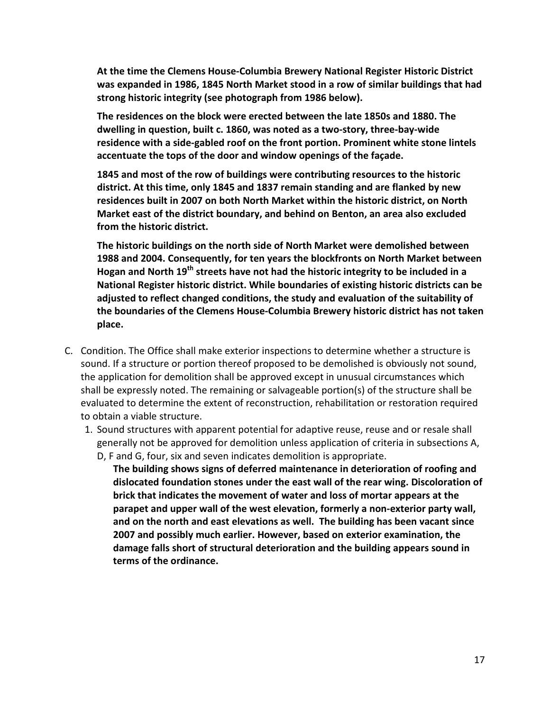**At the time the Clemens House-Columbia Brewery National Register Historic District was expanded in 1986, 1845 North Market stood in a row of similar buildings that had strong historic integrity (see photograph from 1986 below).** 

**The residences on the block were erected between the late 1850s and 1880. The dwelling in question, built c. 1860, was noted as a two-story, three-bay-wide residence with a side-gabled roof on the front portion. Prominent white stone lintels accentuate the tops of the door and window openings of the façade.** 

**1845 and most of the row of buildings were contributing resources to the historic district. At this time, only 1845 and 1837 remain standing and are flanked by new residences built in 2007 on both North Market within the historic district, on North Market east of the district boundary, and behind on Benton, an area also excluded from the historic district.** 

**The historic buildings on the north side of North Market were demolished between 1988 and 2004. Consequently, for ten years the blockfronts on North Market between Hogan and North 19th streets have not had the historic integrity to be included in a National Register historic district. While boundaries of existing historic districts can be adjusted to reflect changed conditions, the study and evaluation of the suitability of the boundaries of the Clemens House-Columbia Brewery historic district has not taken place.** 

- C. Condition. The Office shall make exterior inspections to determine whether a structure is sound. If a structure or portion thereof proposed to be demolished is obviously not sound, the application for demolition shall be approved except in unusual circumstances which shall be expressly noted. The remaining or salvageable portion(s) of the structure shall be evaluated to determine the extent of reconstruction, rehabilitation or restoration required to obtain a viable structure.
	- 1. Sound structures with apparent potential for adaptive reuse, reuse and or resale shall generally not be approved for demolition unless application of criteria in subsections A, D, F and G, four, six and seven indicates demolition is appropriate.
		- **The building shows signs of deferred maintenance in deterioration of roofing and dislocated foundation stones under the east wall of the rear wing. Discoloration of brick that indicates the movement of water and loss of mortar appears at the parapet and upper wall of the west elevation, formerly a non-exterior party wall, and on the north and east elevations as well. The building has been vacant since 2007 and possibly much earlier. However, based on exterior examination, the damage falls short of structural deterioration and the building appears sound in terms of the ordinance.**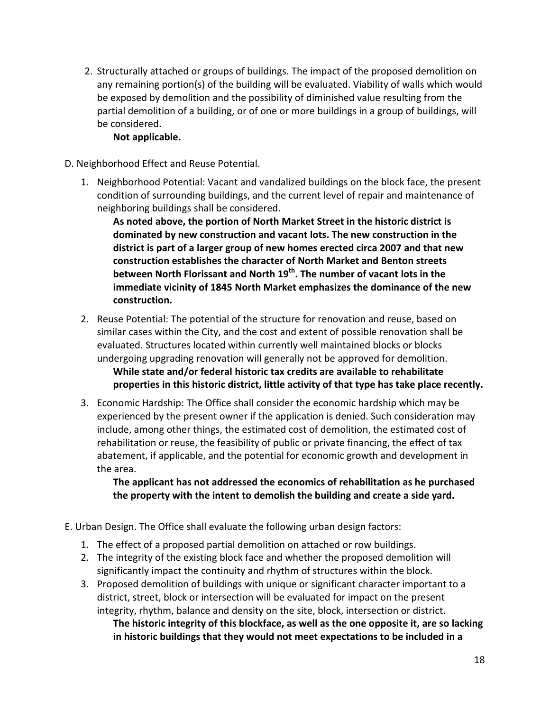2. Structurally attached or groups of buildings. The impact of the proposed demolition on any remaining portion(s) of the building will be evaluated. Viability of walls which would be exposed by demolition and the possibility of diminished value resulting from the partial demolition of a building, or of one or more buildings in a group of buildings, will be considered.

## **Not applicable.**

- D. Neighborhood Effect and Reuse Potential.
	- 1. Neighborhood Potential: Vacant and vandalized buildings on the block face, the present condition of surrounding buildings, and the current level of repair and maintenance of neighboring buildings shall be considered.

**As noted above, the portion of North Market Street in the historic district is dominated by new construction and vacant lots. The new construction in the district is part of a larger group of new homes erected circa 2007 and that new construction establishes the character of North Market and Benton streets between North Florissant and North 19th. The number of vacant lots in the immediate vicinity of 1845 North Market emphasizes the dominance of the new construction.** 

- 2. Reuse Potential: The potential of the structure for renovation and reuse, based on similar cases within the City, and the cost and extent of possible renovation shall be evaluated. Structures located within currently well maintained blocks or blocks undergoing upgrading renovation will generally not be approved for demolition. **While state and/or federal historic tax credits are available to rehabilitate properties in this historic district, little activity of that type has take place recently.**
- 3. Economic Hardship: The Office shall consider the economic hardship which may be experienced by the present owner if the application is denied. Such consideration may include, among other things, the estimated cost of demolition, the estimated cost of rehabilitation or reuse, the feasibility of public or private financing, the effect of tax abatement, if applicable, and the potential for economic growth and development in the area.

**The applicant has not addressed the economics of rehabilitation as he purchased the property with the intent to demolish the building and create a side yard.** 

- E. Urban Design. The Office shall evaluate the following urban design factors:
	- 1. The effect of a proposed partial demolition on attached or row buildings.
	- 2. The integrity of the existing block face and whether the proposed demolition will significantly impact the continuity and rhythm of structures within the block.
	- 3. Proposed demolition of buildings with unique or significant character important to a district, street, block or intersection will be evaluated for impact on the present integrity, rhythm, balance and density on the site, block, intersection or district. **The historic integrity of this blockface, as well as the one opposite it, are so lacking in historic buildings that they would not meet expectations to be included in a**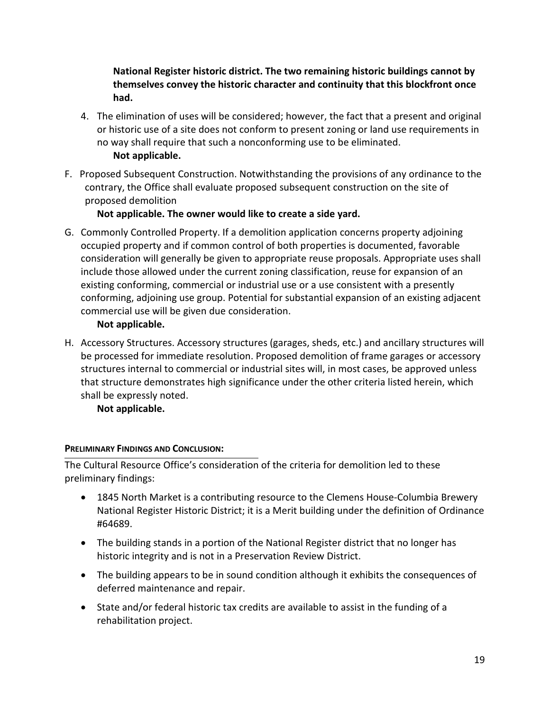## **National Register historic district. The two remaining historic buildings cannot by themselves convey the historic character and continuity that this blockfront once had.**

- 4. The elimination of uses will be considered; however, the fact that a present and original or historic use of a site does not conform to present zoning or land use requirements in no way shall require that such a nonconforming use to be eliminated. **Not applicable.**
- F. Proposed Subsequent Construction. Notwithstanding the provisions of any ordinance to the contrary, the Office shall evaluate proposed subsequent construction on the site of proposed demolition

## **Not applicable. The owner would like to create a side yard.**

G. Commonly Controlled Property. If a demolition application concerns property adjoining occupied property and if common control of both properties is documented, favorable consideration will generally be given to appropriate reuse proposals. Appropriate uses shall include those allowed under the current zoning classification, reuse for expansion of an existing conforming, commercial or industrial use or a use consistent with a presently conforming, adjoining use group. Potential for substantial expansion of an existing adjacent commercial use will be given due consideration.

## **Not applicable.**

H. Accessory Structures. Accessory structures (garages, sheds, etc.) and ancillary structures will be processed for immediate resolution. Proposed demolition of frame garages or accessory structures internal to commercial or industrial sites will, in most cases, be approved unless that structure demonstrates high significance under the other criteria listed herein, which shall be expressly noted.

**Not applicable.** 

# **PRELIMINARY FINDINGS AND CONCLUSION:**

The Cultural Resource Office's consideration of the criteria for demolition led to these preliminary findings:

- 1845 North Market is a contributing resource to the Clemens House-Columbia Brewery National Register Historic District; it is a Merit building under the definition of Ordinance #64689.
- The building stands in a portion of the National Register district that no longer has historic integrity and is not in a Preservation Review District.
- The building appears to be in sound condition although it exhibits the consequences of deferred maintenance and repair.
- State and/or federal historic tax credits are available to assist in the funding of a rehabilitation project.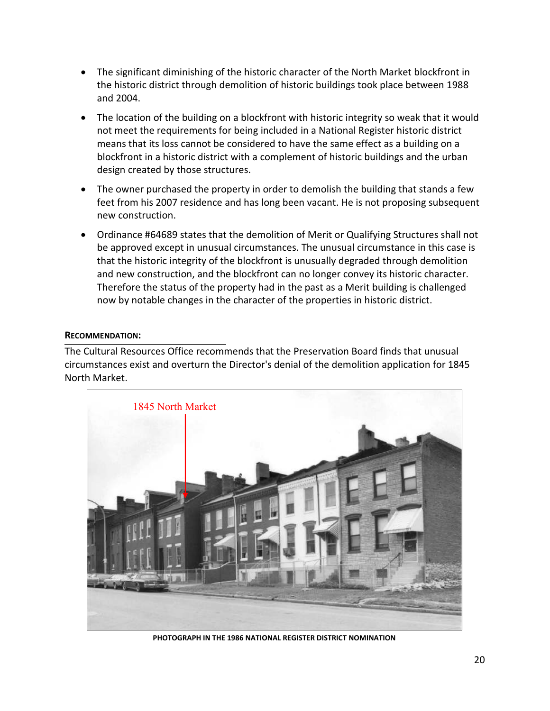- The significant diminishing of the historic character of the North Market blockfront in the historic district through demolition of historic buildings took place between 1988 and 2004.
- The location of the building on a blockfront with historic integrity so weak that it would not meet the requirements for being included in a National Register historic district means that its loss cannot be considered to have the same effect as a building on a blockfront in a historic district with a complement of historic buildings and the urban design created by those structures.
- The owner purchased the property in order to demolish the building that stands a few feet from his 2007 residence and has long been vacant. He is not proposing subsequent new construction.
- Ordinance #64689 states that the demolition of Merit or Qualifying Structures shall not be approved except in unusual circumstances. The unusual circumstance in this case is that the historic integrity of the blockfront is unusually degraded through demolition and new construction, and the blockfront can no longer convey its historic character. Therefore the status of the property had in the past as a Merit building is challenged now by notable changes in the character of the properties in historic district.

### **RECOMMENDATION:**

The Cultural Resources Office recommends that the Preservation Board finds that unusual circumstances exist and overturn the Director's denial of the demolition application for 1845 North Market.



**PHOTOGRAPH IN THE 1986 NATIONAL REGISTER DISTRICT NOMINATION**